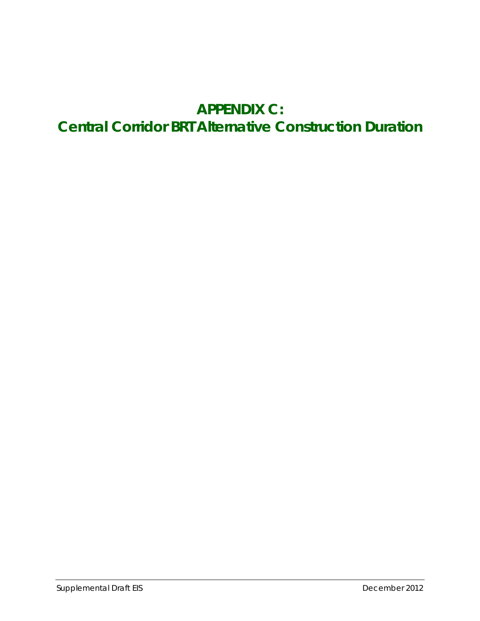## **APPENDIX C: Central Corridor BRT Alternative Construction Duration**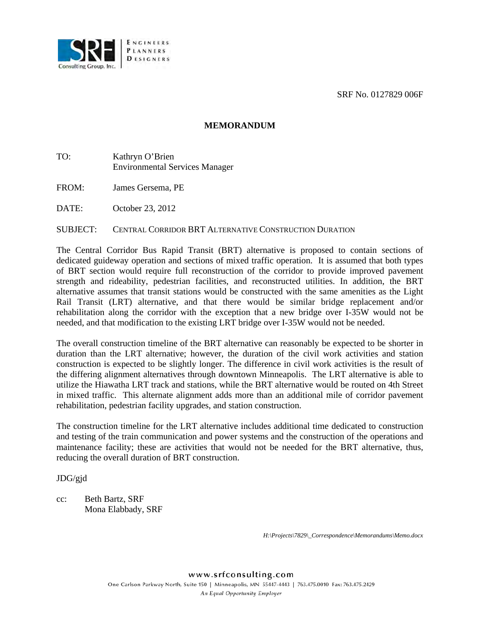SRF No. 0127829 006F



## **MEMORANDUM**

- TO: Kathryn O'Brien Environmental Services Manager
- FROM: James Gersema, PE

DATE: October 23, 2012

## SUBJECT: CENTRAL CORRIDOR BRT ALTERNATIVE CONSTRUCTION DURATION

The Central Corridor Bus Rapid Transit (BRT) alternative is proposed to contain sections of dedicated guideway operation and sections of mixed traffic operation. It is assumed that both types of BRT section would require full reconstruction of the corridor to provide improved pavement strength and rideability, pedestrian facilities, and reconstructed utilities. In addition, the BRT alternative assumes that transit stations would be constructed with the same amenities as the Light Rail Transit (LRT) alternative, and that there would be similar bridge replacement and/or rehabilitation along the corridor with the exception that a new bridge over I-35W would not be needed, and that modification to the existing LRT bridge over I-35W would not be needed.

The overall construction timeline of the BRT alternative can reasonably be expected to be shorter in duration than the LRT alternative; however, the duration of the civil work activities and station construction is expected to be slightly longer. The difference in civil work activities is the result of the differing alignment alternatives through downtown Minneapolis. The LRT alternative is able to utilize the Hiawatha LRT track and stations, while the BRT alternative would be routed on 4th Street in mixed traffic. This alternate alignment adds more than an additional mile of corridor pavement rehabilitation, pedestrian facility upgrades, and station construction.

The construction timeline for the LRT alternative includes additional time dedicated to construction and testing of the train communication and power systems and the construction of the operations and maintenance facility; these are activities that would not be needed for the BRT alternative, thus, reducing the overall duration of BRT construction.

JDG/gjd

cc: Beth Bartz, SRF Mona Elabbady, SRF

*H:\Projects\7829\\_Correspondence\Memorandums\Memo.docx*